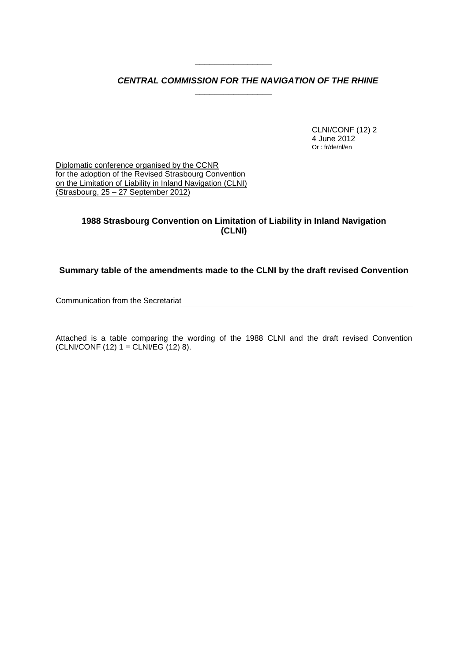### *CENTRAL COMMISSION FOR THE NAVIGATION OF THE RHINE*

*\_\_\_\_\_\_\_\_\_\_\_\_\_\_\_\_* 

*\_\_\_\_\_\_\_\_\_\_\_\_\_\_\_\_* 

CLNI/CONF (12) 2 4 June 2012 Or : fr/de/nl/en

Diplomatic conference organised by the CCNR for the adoption of the Revised Strasbourg Convention on the Limitation of Liability in Inland Navigation (CLNI) (Strasbourg, 25 – 27 September 2012)

### **1988 Strasbourg Convention on Limitation of Liability in Inland Navigation (CLNI)**

### **Summary table of the amendments made to the CLNI by the draft revised Convention**

Communication from the Secretariat

Attached is a table comparing the wording of the 1988 CLNI and the draft revised Convention  $(CLNI/CONF (12) 1 = CLNI/EG (12) 8).$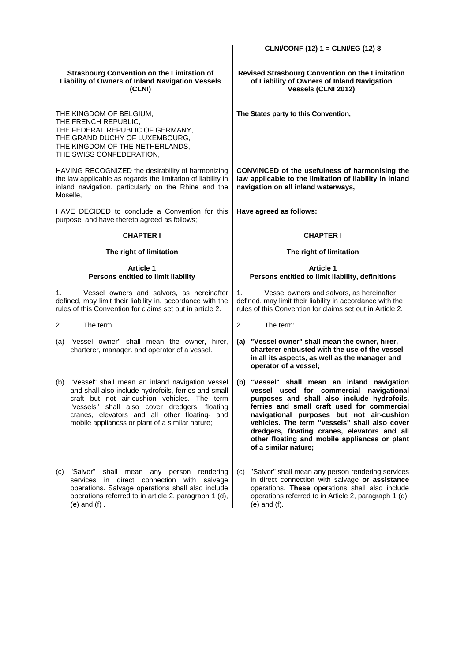### **CLNI/CONF (12) 1 = CLNI/EG (12) 8**

### **Strasbourg Convention on the Limitation of Liability of Owners of Inland Navigation Vessels (CLNI)**

THE KINGDOM OF BELGIUM, THE FRENCH REPUBLIC, THE FEDERAL REPUBLIC OF GERMANY, THE GRAND DUCHY OF LUXEMBOURG, THE KINGDOM OF THE NETHERLANDS, THE SWISS CONFEDERATION,

HAVING RECOGNIZED the desirability of harmonizing the law applicable as regards the limitation of liability in inland navigation, particularly on the Rhine and the Moselle,

HAVE DECIDED to conclude a Convention for this purpose, and have thereto agreed as follows;

1. Vessel owners and salvors, as hereinafter defined, may limit their liability in. accordance with the rules of this Convention for claims set out in article 2.

- 2. The term 2. The term:
- (a) "vessel owner" shall mean the owner, hirer, charterer, manaqer. and operator of a vessel.
- (b) "Vessel" shall mean an inland navigation vessel and shall also include hydrofoils, ferries and small craft but not air-cushion vehicles. The term "vessels" shall also cover dredgers, floating cranes, elevators and all other floating- and mobile appliancss or plant of a similar nature;
- (c) "Salvor" shall mean any person rendering services in direct connection with salvage operations. Salvage operations shall also include operations referred to in article 2, paragraph 1 (d), (e) and (f) .

### **Revised Strasbourg Convention on the Limitation of Liability of Owners of Inland Navigation Vessels (CLNI 2012)**

**The States party to this Convention,** 

**CONVINCED of the usefulness of harmonising the law applicable to the limitation of liability in inland navigation on all inland waterways,** 

**Have agreed as follows:**

### **CHAPTER I CHAPTER I**

### **The right of limitation The right of limitation**

### **Article 1 Article 1 Persons entitled to limit liability Persons entitled to limit liability, definitions**

1. Vessel owners and salvors, as hereinafter defined, may limit their liability in accordance with the rules of this Convention for claims set out in Article 2.

- 
- **(a) "Vessel owner" shall mean the owner, hirer, charterer entrusted with the use of the vessel in all its aspects, as well as the manager and operator of a vessel;**
- **(b) "Vessel" shall mean an inland navigation vessel used for commercial navigational purposes and shall also include hydrofoils, ferries and small craft used for commercial navigational purposes but not air-cushion vehicles. The term "vessels" shall also cover dredgers, floating cranes, elevators and all other floating and mobile appliances or plant of a similar nature;**
- (c) "Salvor" shall mean any person rendering services in direct connection with salvage **or assistance** operations. **These** operations shall also include operations referred to in Article 2, paragraph 1 (d), (e) and (f).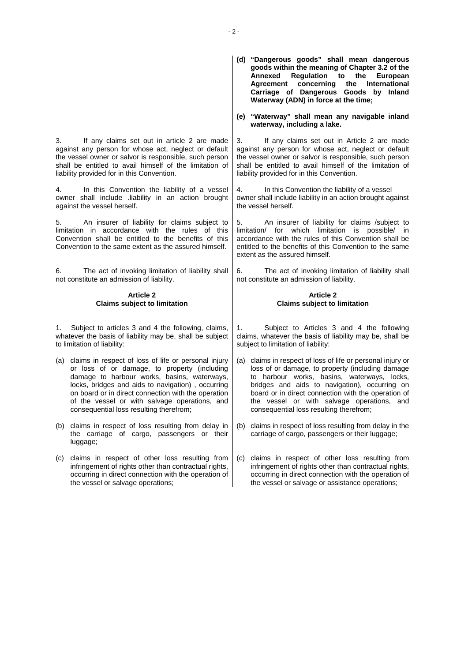3. If any claims set out in article 2 are made against any person for whose act, neglect or default the vessel owner or salvor is responsible, such person shall be entitled to avail himself of the limitation of liability provided for in this Convention.

4. In this Convention the liability of a vessel owner shall include .liability in an action brought against the vessel herself.

5. An insurer of liability for claims subject to limitation in accordance with the rules of this Convention shall be entitled to the benefits of this Convention to the same extent as the assured himself.

6. The act of invoking limitation of liability shall not constitute an admission of liability.

# **Article 2 Article 2**

1. Subject to articles 3 and 4 the following, claims, whatever the basis of liability may be, shall be subject to limitation of liability:

- (a) claims in respect of loss of life or personal injury or loss of or damage, to property (including damage to harbour works, basins, waterways, locks, bridges and aids to navigation) , occurring on board or in direct connection with the operation of the vessel or with salvage operations, and consequential loss resulting therefrom;
- (b) claims in respect of loss resulting from delay in the carriage of cargo, passengers or their luggage;
- (c) claims in respect of other loss resulting from infringement of rights other than contractual rights, occurring in direct connection with the operation of the vessel or salvage operations;
- **(d) "Dangerous goods" shall mean dangerous goods within the meaning of Chapter 3.2 of the Regulation to the European Agreement concerning the International Carriage of Dangerous Goods by Inland Waterway (ADN) in force at the time;**
- **(e) "Waterway" shall mean any navigable inland waterway, including a lake.**

3. If any claims set out in Article 2 are made against any person for whose act, neglect or default the vessel owner or salvor is responsible, such person shall be entitled to avail himself of the limitation of liability provided for in this Convention.

In this Convention the liability of a vessel owner shall include liability in an action brought against the vessel herself.

5. An insurer of liability for claims /subject to limitation/ for which limitation is possible/ in accordance with the rules of this Convention shall be entitled to the benefits of this Convention to the same extent as the assured himself.

6. The act of invoking limitation of liability shall not constitute an admission of liability.

# **Claims subject to limitation Claims subject to limitation**

Subject to Articles 3 and 4 the following claims, whatever the basis of liability may be, shall be subject to limitation of liability:

- (a) claims in respect of loss of life or personal injury or loss of or damage, to property (including damage to harbour works, basins, waterways, locks, bridges and aids to navigation), occurring on board or in direct connection with the operation of the vessel or with salvage operations, and consequential loss resulting therefrom;
- (b) claims in respect of loss resulting from delay in the carriage of cargo, passengers or their luggage;
- (c) claims in respect of other loss resulting from infringement of rights other than contractual rights, occurring in direct connection with the operation of the vessel or salvage or assistance operations;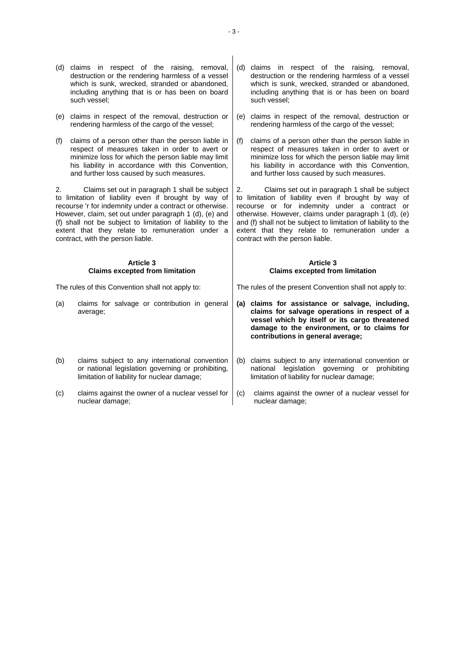- (d) claims in respect of the raising, removal, destruction or the rendering harmless of a vessel which is sunk, wrecked, stranded or abandoned. including anything that is or has been on board such vessel;
- (e) claims in respect of the removal, destruction or rendering harmless of the cargo of the vessel;
- (f) claims of a person other than the person liable in respect of measures taken in order to avert or minimize loss for which the person liable may limit his liability in accordance with this Convention, and further loss caused by such measures.

2. Claims set out in paragraph 1 shall be subject to limitation of liability even if brought by way of recourse 'r for indemnity under a contract or otherwise. However, claim, set out under paragraph 1 (d), (e) and (f) shall not be subject to limitation of liability to the extent that they relate to remuneration under a contract, with the person liable.

- (a) claims for salvage or contribution in general average;
- (b) claims subject to any international convention or national legislation governing or prohibiting, limitation of liability for nuclear damage;
- (c) claims against the owner of a nuclear vessel for nuclear damage;
- (d) claims in respect of the raising, removal, destruction or the rendering harmless of a vessel which is sunk, wrecked, stranded or abandoned. including anything that is or has been on board such vessel;
- (e) claims in respect of the removal, destruction or rendering harmless of the cargo of the vessel;
- (f) claims of a person other than the person liable in respect of measures taken in order to avert or minimize loss for which the person liable may limit his liability in accordance with this Convention, and further loss caused by such measures.

2. Claims set out in paragraph 1 shall be subject to limitation of liability even if brought by way of recourse or for indemnity under a contract or otherwise. However, claims under paragraph 1 (d), (e) and (f) shall not be subject to limitation of liability to the extent that they relate to remuneration under a contract with the person liable.

### **Article 3 Article 3 Claims excepted from limitation Claims excepted from limitation**

The rules of this Convention shall not apply to: The rules of the present Convention shall not apply to:

- **(a) claims for assistance or salvage, including, claims for salvage operations in respect of a vessel which by itself or its cargo threatened damage to the environment, or to claims for contributions in general average;**
- (b) claims subject to any international convention or national legislation governing or prohibiting limitation of liability for nuclear damage;
- (c) claims against the owner of a nuclear vessel for nuclear damage;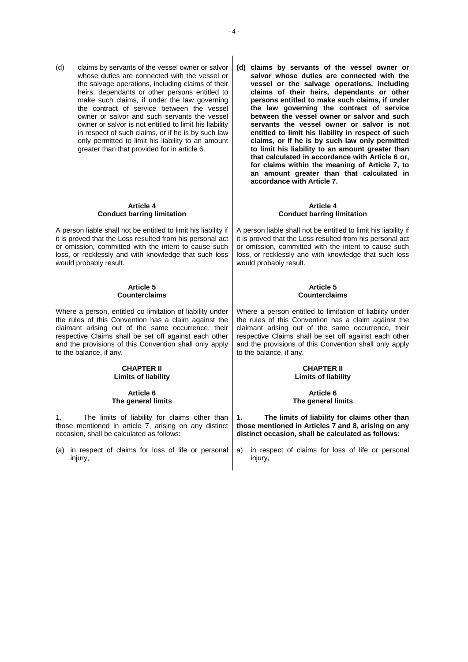(d) claims by servants of the vessel owner or salvor whose duties are connected with the vessel or the salvage operations, including claims of their heirs, dependants or other persons entitled to make such claims, if under the law governing the contract of service between the vessel owner or salvor and such servants the vessel owner or salvor is not entitled to limit his liability in respect of such claims, or if he is by such law only permitted to limit his liability to an amount greater than that provided for in article 6.

## **Conduct barring limitation Conduct barring limitation**

A person liable shall not be entitled to limit his liability if it is proved that the Loss resulted from his personal act or omission, committed with the intent to cause such loss, or recklessly and with knowledge that such loss would probably result.

### Article 5 **Article 5 Article 5 Counterclaims Counterclaims**

Where a person, entitled co limitation of liability under the rules of this Convention has a claim against the claimant arising out of the same occurrence, their respective Claims shall be set off against each other and the provisions of this Convention shall only apply to the balance, if any.

## **Limits of liability Limits of liability**

## **The general limits The general limits**

1. The limits of liability for claims other than those mentioned in article 7, arising on any distinct occasion, shall be calculated as follows:

(a) in respect of claims for loss of life or personal injury,

**(d) claims by servants of the vessel owner or salvor whose duties are connected with the vessel or the salvage operations, including claims of their heirs, dependants or other persons entitled to make such claims, if under the law governing the contract of service between the vessel owner or salvor and such servants the vessel owner or salvor is not entitled to limit his liability in respect of such claims, or if he is by such law only permitted to limit his liability to an amount greater than that calculated in accordance with Article 6 or, for claims within the meaning of Article 7, to an amount greater than that calculated in accordance with Article 7.** 

## **Article 4 Article 4**

A person liable shall not be entitled to limit his liability if it is proved that the Loss resulted from his personal act or omission, committed with the intent to cause such loss, or recklessly and with knowledge that such loss would probably result.

Where a person entitled to limitation of liability under the rules of this Convention has a claim against the claimant arising out of the same occurrence, their respective Claims shall be set off against each other and the provisions of this Convention shall only apply to the balance, if any.

# **CHAPTER II** CHAPTER II<br>mits of liability and the community of the community of liability

# Article 6 **Article 6 Article 6**

**1. The limits of liability for claims other than those mentioned in Articles 7 and 8, arising on any distinct occasion, shall be calculated as follows:** 

a) in respect of claims for loss of life or personal injury,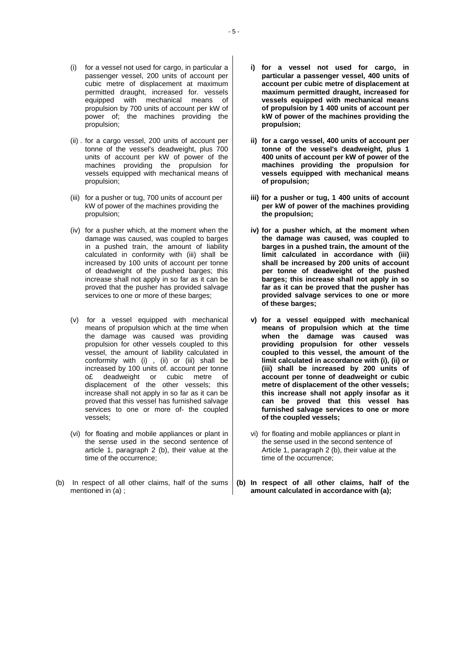- (i) for a vessel not used for cargo, in particular a passenger vessel, 200 units of account per cubic metre of displacement at maximum permitted draught, increased for. vessels equipped with mechanical means of propulsion by 700 units of account per kW of power of; the machines providing the propulsion;
- (ii) . for a cargo vessel, 200 units of account per tonne of the vessel's deadweight, plus 700 units of account per kW of power of the machines providing the propulsion for vessels equipped with mechanical means of propulsion;
- (iii) for a pusher or tug, 700 units of account per kW of power of the machines providing the propulsion;
- (iv) for a pusher which, at the moment when the damage was caused, was coupled to barges in a pushed train, the amount of liability calculated in conformity with (iii) shall be increased by 100 units of account per tonne of deadweight of the pushed barges; this increase shall not apply in so far as it can be proved that the pusher has provided salvage services to one or more of these barges;
- (v) for a vessel equipped with mechanical means of propulsion which at the time when the damage was caused was providing propulsion for other vessels coupled to this vessel, the amount of liability calculated in conformity with (i) , (ii) or (iii) shall be increased by 100 units of. account per tonne o£ deadweight or cubic metre of displacement of the other vessels; this increase shall not apply in so far as it can be proved that this vessel has furnished salvage services to one or more of- the coupled vessels;
- (vi) for floating and mobile appliances or plant in the sense used in the second sentence of article 1, paragraph 2 (b), their value at the time of the occurrence;
- (b) In respect of all other claims, half of the sums mentioned in (a) ;
- **i) for a vessel not used for cargo, in particular a passenger vessel, 400 units of account per cubic metre of displacement at maximum permitted draught, increased for vessels equipped with mechanical means of propulsion by 1 400 units of account per kW of power of the machines providing the propulsion;**
- **ii) for a cargo vessel, 400 units of account per tonne of the vessel's deadweight, plus 1 400 units of account per kW of power of the machines providing the propulsion for vessels equipped with mechanical means of propulsion;**
- **iii) for a pusher or tug, 1 400 units of account per kW of power of the machines providing the propulsion;**
- **iv) for a pusher which, at the moment when the damage was caused, was coupled to barges in a pushed train, the amount of the limit calculated in accordance with (iii) shall be increased by 200 units of account per tonne of deadweight of the pushed barges; this increase shall not apply in so far as it can be proved that the pusher has provided salvage services to one or more of these barges;**
- **v) for a vessel equipped with mechanical means of propulsion which at the time when the damage was caused was providing propulsion for other vessels coupled to this vessel, the amount of the limit calculated in accordance with (i), (ii) or (iii) shall be increased by 200 units of account per tonne of deadweight or cubic metre of displacement of the other vessels; this increase shall not apply insofar as it can be proved that this vessel has furnished salvage services to one or more of the coupled vessels;**
- vi) for floating and mobile appliances or plant in the sense used in the second sentence of Article 1, paragraph 2 (b), their value at the time of the occurrence;
- **(b) In respect of all other claims, half of the amount calculated in accordance with (a);**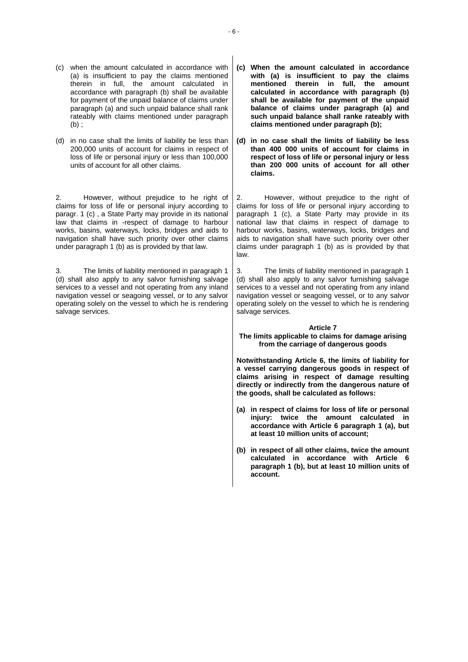- (c) when the amount calculated in accordance with (a) is insufficient to pay the claims mentioned therein in full, the amount calculated in accordance with paragraph (b) shall be available for payment of the unpaid balance of claims under paragraph (a) and such unpaid balance shall rank rateably with claims mentioned under paragraph (b) ;
- (d) in no case shall the limits of liability be less than 200,000 units of account for claims in respect of loss of life or personal injury or less than 100,000 units of account for all other claims.

2. However, without prejudice to he right of claims for loss of life or personal injury according to paragr. 1 (c) , a State Party may provide in its national law that claims in -respect of damage to harbour works, basins, waterways, locks, bridges and aids to navigation shall have such priority over other claims under paragraph 1 (b) as is provided by that law.

3. The limits of liability mentioned in paragraph 1 (d) shall also apply to any salvor furnishing salvage services to a vessel and not operating from any inland navigation vessel or seagoing vessel, or to any salvor operating solely on the vessel to which he is rendering salvage services.

- **(c) When the amount calculated in accordance with (a) is insufficient to pay the claims mentioned therein in full, the amount calculated in accordance with paragraph (b) shall be available for payment of the unpaid balance of claims under paragraph (a) and such unpaid balance shall ranke rateably with claims mentioned under paragraph (b);**
- **(d) in no case shall the limits of liability be less than 400 000 units of account for claims in respect of loss of life or personal injury or less than 200 000 units of account for all other claims.**

2. However, without prejudice to the right of claims for loss of life or personal injury according to paragraph 1 (c), a State Party may provide in its national law that claims in respect of damage to harbour works, basins, waterways, locks, bridges and aids to navigation shall have such priority over other claims under paragraph 1 (b) as is provided by that law.

3. The limits of liability mentioned in paragraph 1 (d) shall also apply to any salvor furnishing salvage services to a vessel and not operating from any inland navigation vessel or seagoing vessel, or to any salvor operating solely on the vessel to which he is rendering salvage services.

### **Article 7**

**The limits applicable to claims for damage arising from the carriage of dangerous goods** 

**Notwithstanding Article 6, the limits of liability for a vessel carrying dangerous goods in respect of claims arising in respect of damage resulting directly or indirectly from the dangerous nature of the goods, shall be calculated as follows:** 

- **(a) in respect of claims for loss of life or personal injury: twice the amount calculated in accordance with Article 6 paragraph 1 (a), but at least 10 million units of account;**
- **(b) in respect of all other claims, twice the amount calculated in accordance with Article 6 paragraph 1 (b), but at least 10 million units of account.**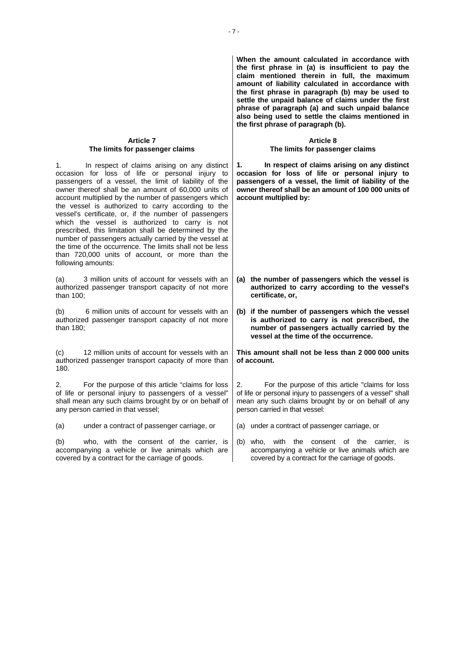**When the amount calculated in accordance with the first phrase in (a) is insufficient to pay the claim mentioned therein in full, the maximum amount of liability calculated in accordance with the first phrase in paragraph (b) may be used to settle the unpaid balance of claims under the first phrase of paragraph (a) and such unpaid balance also being used to settle the claims mentioned in the first phrase of paragraph (b).** 

# Article 7 **Article 7** Article 8

**1. In respect of claims arising on any distinct occasion for loss of life or personal injury to passengers of a vessel, the limit of liability of the owner thereof shall be an amount of 100 000 units of account multiplied by:** 

- **(a) the number of passengers which the vessel is authorized to carry according to the vessel's certificate, or,**
- **(b) if the number of passengers which the vessel is authorized to carry is not prescribed, the number of passengers actually carried by the vessel at the time of the occurrence.**

**This amount shall not be less than 2 000 000 units of account.** 

2. For the purpose of this article "claims for loss of life or personal injury to passengers of a vessel" shall mean any such claims brought by or on behalf of any person carried in that vessel:

- 
- (b) who, with the consent of the carrier, is accompanying a vehicle or live animals which are covered by a contract for the carriage of goods.

## **The limits for passenger claims The limits for passenger claims**

1. In respect of claims arising on any distinct occasion for loss of life or personal injury to passengers of a vessel, the limit of liability of the owner thereof shall be an amount of 60,000 units of account multiplied by the number of passengers which the vessel is authorized to carry according to the vessel's certificate, or, if the number of passengers which the vessel is authorized to carry is not prescribed, this limitation shall be determined by the number of passengers actually carried by the vessel at the time of the occurrence. The limits shall not be less than 720,000 units of account, or more than the following amounts:

(a) 3 million units of account for vessels with an authorized passenger transport capacity of not more than 100;

(b) 6 million units of account for vessels with an authorized passenger transport capacity of not more than 180;

(c) 12 million units of account for vessels with an authorized passenger transport capacity of more than 180.

2. For the purpose of this article "claims for loss of life or personal injury to passengers of a vessel" shall mean any such claims brought by or on behalf of any person carried in that vessel;

(a) under a contract of passenger carriage, or  $\begin{bmatrix} a \\ c \end{bmatrix}$  under a contract of passenger carriage, or

(b) who, with the consent of the carrier, is accompanying a vehicle or live animals which are covered by a contract for the carriage of goods.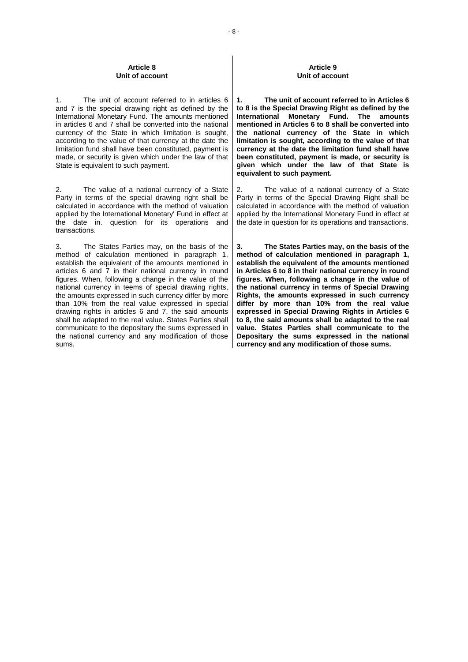### Article 8 **Article 9 Article 9 Unit of account Unit of account**

1. The unit of account referred to in articles 6 and 7 is the special drawing right as defined by the International Monetary Fund. The amounts mentioned in articles 6 and 7 shall be converted into the national currency of the State in which limitation is sought, according to the value of that currency at the date the limitation fund shall have been constituted, payment is made, or security is given which under the law of that State is equivalent to such payment.

The value of a national currency of a State Party in terms of the special drawing right shall be calculated in accordance with the method of valuation applied by the International Monetary' Fund in effect at the date in. question for its operations and transactions.

The States Parties may, on the basis of the method of calculation mentioned in paragraph 1, establish the equivalent of the amounts mentioned in articles 6 and 7 in their national currency in round figures. When, following a change in the value of the national currency in teems of special drawing rights, the amounts expressed in such currency differ by more than 10% from the real value expressed in special drawing rights in articles 6 and 7, the said amounts shall be adapted to the real value. States Parties shall communicate to the depositary the sums expressed in the national currency and any modification of those sums.

**1. The unit of account referred to in Articles 6 to 8 is the Special Drawing Right as defined by the International Monetary Fund. The amounts mentioned in Articles 6 to 8 shall be converted into the national currency of the State in which limitation is sought, according to the value of that currency at the date the limitation fund shall have been constituted, payment is made, or security is given which under the law of that State is equivalent to such payment.** 

The value of a national currency of a State Party in terms of the Special Drawing Right shall be calculated in accordance with the method of valuation applied by the International Monetary Fund in effect at the date in question for its operations and transactions.

**3. The States Parties may, on the basis of the method of calculation mentioned in paragraph 1, establish the equivalent of the amounts mentioned in Articles 6 to 8 in their national currency in round figures. When, following a change in the value of the national currency in terms of Special Drawing Rights, the amounts expressed in such currency differ by more than 10% from the real value expressed in Special Drawing Rights in Articles 6 to 8, the said amounts shall be adapted to the real value. States Parties shall communicate to the Depositary the sums expressed in the national currency and any modification of those sums.**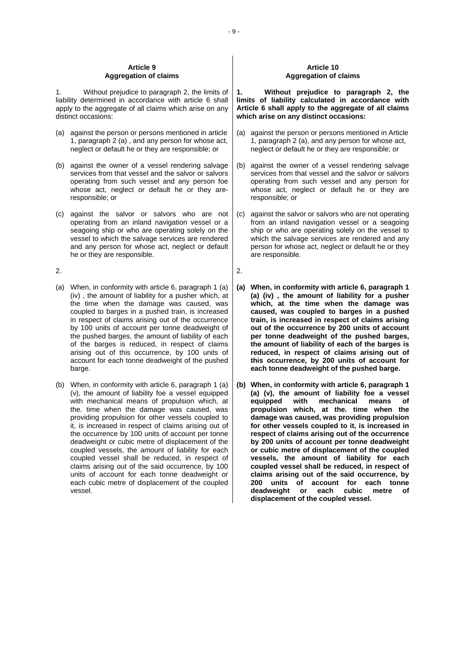# Article 9 **Article 9 Article 10**<br>Aggregation of claims **Aggregation of claims**

1. Without prejudice to paragraph 2, the limits of liability determined in accordance with article 6 shall apply to the aggregate of all claims which arise on any distinct occasions:

- (a) against the person or persons mentioned in article 1, paragraph 2 (a) , and any person for whose act, neglect or default he or they are responsible; or
- (b) against the owner of a vessel rendering salvage services from that vessel and the salvor or salvors operating from such vessel and any person foe whose act, neglect or default he or they areresponsible; or
- (c) against the salvor or salvors who are not operating from an inland navigation vessel or a seagoing ship or who are operating solely on the vessel to which the salvage services are rendered and any person for whose act, neglect or default he or they are responsible.
- 
- (a) When, in conformity with article 6, paragraph 1 (a) (iv) , the amount of liability for a pusher which, at the time when the damage was caused, was coupled to barges in a pushed train, is increased in respect of claims arising out of the occurrence by 100 units of account per tonne deadweight of the pushed barges, the amount of liability of each of the barges is reduced, in respect of claims arising out of this occurrence, by 100 units of account for each tonne deadweight of the pushed barge.
- (b) When, in conformity with article 6, paragraph 1 (a) (v), the amount of liability foe a vessel equipped with mechanical means of propulsion which, at the. time when the damage was caused, was providing propulsion for other vessels coupled to it, is increased in respect of claims arising out of the occurrence by 100 units of account per tonne deadweight or cubic metre of displacement of the coupled vessels, the amount of liability for each coupled vessel shall be reduced, in respect of claims arising out of the said occurrence, by 100 units of account for each tonne deadweight or each cubic metre of displacement of the coupled vessel.

# **Aggregation of claims Aggregation of claims**

**1. Without prejudice to paragraph 2, the limits of liability calculated in accordance with Article 6 shall apply to the aggregate of all claims which arise on any distinct occasions:** 

- (a) against the person or persons mentioned in Article 1, paragraph 2 (a), and any person for whose act, neglect or default he or they are responsible; or
- (b) against the owner of a vessel rendering salvage services from that vessel and the salvor or salvors operating from such vessel and any person for whose act, neglect or default he or they are responsible; or
- (c) against the salvor or salvors who are not operating from an inland navigation vessel or a seagoing ship or who are operating solely on the vessel to which the salvage services are rendered and any person for whose act, neglect or default he or they are responsible.
- 2.  $\vert$  2.
	- **(a) When, in conformity with article 6, paragraph 1 (a) (iv) , the amount of liability for a pusher which, at the time when the damage was caused, was coupled to barges in a pushed train, is increased in respect of claims arising out of the occurrence by 200 units of account per tonne deadweight of the pushed barges, the amount of liability of each of the barges is reduced, in respect of claims arising out of this occurrence, by 200 units of account for each tonne deadweight of the pushed barge.**
	- **(b) When, in conformity with article 6, paragraph 1 (a) (v), the amount of liability foe a vessel equipped with mechanical means of propulsion which, at the. time when the damage was caused, was providing propulsion for other vessels coupled to it, is increased in respect of claims arising out of the occurrence by 200 units of account per tonne deadweight or cubic metre of displacement of the coupled vessels, the amount of liability for each coupled vessel shall be reduced, in respect of claims arising out of the said occurrence, by 200 units of account for each tonne deadweight or each cubic metre of displacement of the coupled vessel.**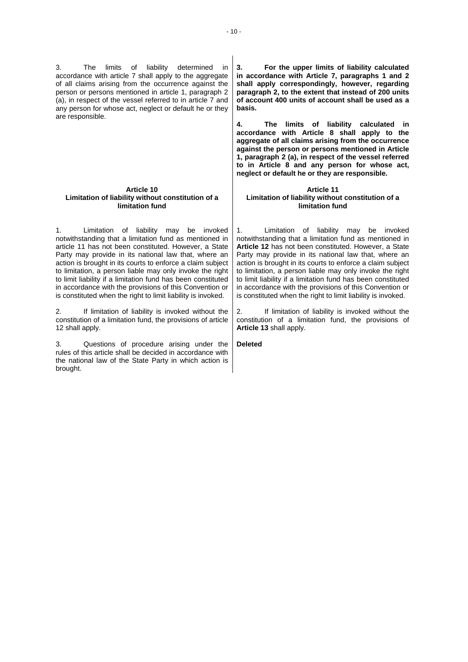3. The limits of liability determined in accordance with article 7 shall apply to the aggregate of all claims arising from the occurrence against the person or persons mentioned in article 1, paragraph 2 (a), in respect of the vessel referred to in article 7 and any person for whose act, neglect or default he or they are responsible.

### Article 10 **Article 11 Article 11 Limitation of liability without constitution of a limitation fund**

1. Limitation of liability may be invoked notwithstanding that a limitation fund as mentioned in article 11 has not been constituted. However, a State Party may provide in its national law that, where an action is brought in its courts to enforce a claim subject to limitation, a person liable may only invoke the right to limit liability if a limitation fund has been constituted in accordance with the provisions of this Convention or is constituted when the right to limit liability is invoked.

2. If limitation of liability is invoked without the constitution of a limitation fund, the provisions of article 12 shall apply.

3. Questions of procedure arising under the rules of this article shall be decided in accordance with the national law of the State Party in which action is brought.

**3. For the upper limits of liability calculated in accordance with Article 7, paragraphs 1 and 2 shall apply correspondingly, however, regarding paragraph 2, to the extent that instead of 200 units of account 400 units of account shall be used as a basis.** 

**4. The limits of liability calculated in accordance with Article 8 shall apply to the aggregate of all claims arising from the occurrence against the person or persons mentioned in Article 1, paragraph 2 (a), in respect of the vessel referred to in Article 8 and any person for whose act, neglect or default he or they are responsible.**

## **Limitation of liability without constitution of a limitation fund**

1. Limitation of liability may be invoked notwithstanding that a limitation fund as mentioned in **Article 12** has not been constituted. However, a State Party may provide in its national law that, where an action is brought in its courts to enforce a claim subject to limitation, a person liable may only invoke the right to limit liability if a limitation fund has been constituted in accordance with the provisions of this Convention or is constituted when the right to limit liability is invoked.

2. If limitation of liability is invoked without the constitution of a limitation fund, the provisions of **Article 13** shall apply.

**Deleted**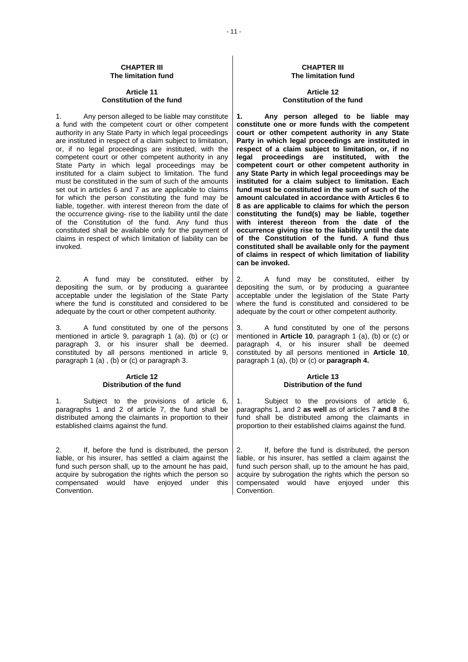# **CHAPTER III CHAPTER III CHAPTER III**<br>The limitation fund **CHAPTER III**

### **Article 11 Article 12 Constitution of the fund Constitution of the fund**

1. Any person alleged to be liable may constitute a fund with the competent court or other competent authority in any State Party in which legal proceedings are instituted in respect of a claim subject to limitation, or, if no legal proceedings are instituted, with the competent court or other competent authority in any State Party in which legal proceedings may be instituted for a claim subject to limitation. The fund must be constituted in the sum of such of the amounts set out in articles 6 and 7 as are applicable to claims for which the person constituting the fund may be liable, together. with interest thereon from the date of the occurrence giving- rise to the liability until the date of the Constitution of the fund. Any fund thus constituted shall be available only for the payment of claims in respect of which limitation of liability can be invoked.

2. A fund may be constituted, either by depositing the sum, or by producing a guarantee acceptable under the legislation of the State Party where the fund is constituted and considered to be adequate by the court or other competent authority.

3. A fund constituted by one of the persons mentioned in article 9, paragraph 1 (a), (b) or (c) or paragraph 3, or his insurer shall be deemed. constituted by all persons mentioned in article 9, paragraph 1 (a) , (b) or (c) or paragraph 3.

# Article 12 **Article 12** Article 13 **Article 13 Article 13**

1. Subject to the provisions of article 6, paragraphs 1 and 2 of article 7, the fund shall be distributed among the claimants in proportion to their established claims against the fund.

2. If, before the fund is distributed, the person liable, or his insurer, has settled a claim against the fund such person shall, up to the amount he has paid, acquire by subrogation the rights which the person so compensated would have enjoyed under this Convention.

## **The limitation fund**

**1. Any person alleged to be liable may constitute one or more funds with the competent court or other competent authority in any State Party in which legal proceedings are instituted in respect of a claim subject to limitation, or, if no legal proceedings are instituted, with the competent court or other competent authority in any State Party in which legal proceedings may be instituted for a claim subject to limitation. Each fund must be constituted in the sum of such of the amount calculated in accordance with Articles 6 to 8 as are applicable to claims for which the person constituting the fund(s) may be liable, together with interest thereon from the date of the occurrence giving rise to the liability until the date of the Constitution of the fund. A fund thus constituted shall be available only for the payment of claims in respect of which limitation of liability can be invoked.** 

2. A fund may be constituted, either by depositing the sum, or by producing a guarantee acceptable under the legislation of the State Party where the fund is constituted and considered to be adequate by the court or other competent authority.

3. A fund constituted by one of the persons mentioned in **Article 10**, paragraph 1 (a), (b) or (c) or paragraph 4, or his insurer shall be deemed constituted by all persons mentioned in **Article 10**, paragraph 1 (a), (b) or (c) or **paragraph 4.**

# **Distribution of the fund**

1. Subject to the provisions of article 6, paragraphs 1, and 2 **as well** as of articles 7 **and 8** the fund shall be distributed among the claimants in proportion to their established claims against the fund.

2. If, before the fund is distributed, the person liable, or his insurer, has settled a claim against the fund such person shall, up to the amount he has paid, acquire by subrogation the rights which the person so compensated would have enjoyed under this Convention.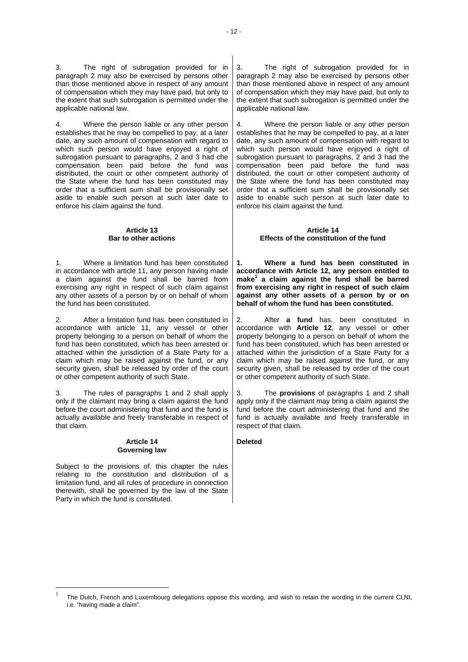3. The right of subrogation provided for in paragraph 2 may also be exercised by persons other than those mentioned above in respect of any amount of compensation which they may have paid, but only to the extent that such subrogation is permitted under the applicable national law.

4. Where the person liable or any other person establishes that he may be compelled to pay, at a later date, any such amount of compensation with regard to which such person would have enjoyed a right of subrogation pursuant to paragraphs, 2 and 3 had che compensation been paid before the fund was distributed, the court or other competent authority of the State where the fund has been constituted may order that a sufficient sum shall be provisionally set aside to enable such person at such later date to enforce his claim against the fund.

1. Where a limitation fund has been constituted in accordance with article 11, any person having made a claim against the fund shall be barred from exercising any right in respect of such claim against any other assets of a person by or on behalf of whom the fund has been constituted.

2. After a limitation fund has. been constituted in accordance with article 11, any vessel or other property belonging to a person on behalf of whom the fund has been constituted, which has been arrested or attached within the jurisdiction of a State Party for a claim which may be raised against the fund, or any security given, shall be released by order of the court or other competent authority of such State.

3. The rules of paragraphs 1 and 2 shall apply only if the claimant may bring a claim against the fund before the court administering that fund and the fund is actually available and freely transferable in respect of that claim.

### **Article 14 Deleted Governing law**

Subject to the provisions of. this chapter the rules relating to the constitution and distribution of a limitation fund, and all rules of procedure in connection therewith, shall be governed by the law of the State Party in which the fund is constituted.

1

3. The right of subrogation provided for in paragraph 2 may also be exercised by persons other than those mentioned above in respect of any amount of compensation which they may have paid, but only to the extent that such subrogation is permitted under the applicable national law.

Where the person liable or any other person establishes that he may be compelled to pay, at a later date, any such amount of compensation with regard to which such person would have enjoyed a right of subrogation pursuant to paragraphs, 2 and 3 had the compensation been paid before the fund was distributed, the court or other competent authority of the State where the fund has been constituted may order that a sufficient sum shall be provisionally set aside to enable such person at such later date to enforce his claim against the fund.

### **Article 13** Article 13 **Article 14 Article 14 Article 14 Article 14 Article 14 Article 14 Article 14 Article 14 Article 14 Article 14 Article 14 Article 14 Article 14 Article 14 Article 14 Ar Bar to Set the constitution of the fund**

**1. Where a fund has been constituted in accordance with Article 12, any person entitled to make<sup>1</sup> a claim against the fund shall be barred from exercising any right in respect of such claim against any other assets of a person by or on behalf of whom the fund has been constituted.** 

After **a fund** has. been constituted in accordance with **Article 12**, any vessel or other property belonging to a person on behalf of whom the fund has been constituted, which has been arrested or attached within the jurisdiction of a State Party for a claim which may be raised against the fund, or any security given, shall be released by order of the court or other competent authority of such State.

3. The **provisions** of paragraphs 1 and 2 shall apply only if the claimant may bring a claim against the fund before the court administering that fund and the fund is actually available and freely transferable in respect of that claim.

<sup>1</sup> The Dutch, French and Luxembourg delegations oppose this wording, and wish to retain the wording in the current CLNI, i.e. "having made a claim".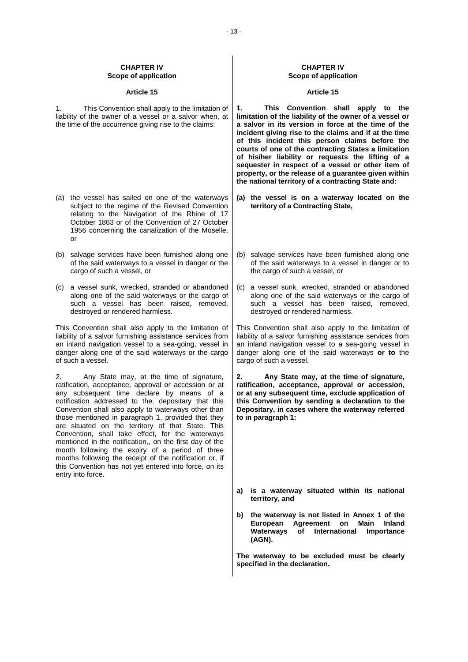# **CHAPTER IV CHAPTER IV CHAPTER IV CHAPTER IV CODE OF APPLICAL SCOPE Of applical**

### **Article 15 Article 15**

1. This Convention shall apply to the limitation of liability of the owner of a vessel or a salvor when, at the time of the occurrence giving rise to the claims:

- (a) the vessel has sailed on one of the waterways subject to the regime of the Revised Convention relating to the Navigation of the Rhine of 17 October 1863 or of the Convention of 27 October 1956 concerning the canalization of the Moselle, or
- (b) salvage services have been furnished along one of the said waterways to a vessel in danger or the cargo of such a vessel, or
- (c) a vessel sunk, wrecked, stranded or abandoned along one of the said waterways or the cargo of such a vessel has been raised, removed, destroyed or rendered harmless.

This Convention shall also apply to the limitation of liability of a salvor furnishing assistance services from an inland navigation vessel to a sea-going, vessel in danger along one of the said waterways or the cargo of such a vessel.

2. Any State may, at the time of signature, ratification, acceptance, approval or accession or at any subsequent time declare by means of a notification addressed to the. depositary that this Convention shall also apply to waterways other than those mentioned in paragraph 1, provided that they are situated on the territory of that State. This Convention, shall take effect, for the waterways mentioned in the notification,, on the first day of the month following the expiry of a period of three months following the receipt of the notification or, if this Convention has not yet entered into force, on its entry into force.

# **Scope of application Scope of application**

**1. This Convention shall apply to the limitation of the liability of the owner of a vessel or a salvor in its version in force at the time of the incident giving rise to the claims and if at the time of this incident this person claims before the courts of one of the contracting States a limitation of his/her liability or requests the lifting of a sequester in respect of a vessel or other item of property, or the release of a guarantee given within the national territory of a contracting State and:** 

- **(a) the vessel is on a waterway located on the territory of a Contracting State,**
- (b) salvage services have been furnished along one of the said waterways to a vessel in danger or to the cargo of such a vessel, or
- (c) a vessel sunk, wrecked, stranded or abandoned along one of the said waterways or the cargo of such a vessel has been raised, removed, destroyed or rendered harmless.

This Convention shall also apply to the limitation of liability of a salvor furnishing assistance services from an inland navigation vessel to a sea-going vessel in danger along one of the said waterways **or to** the cargo of such a vessel.

**2. Any State may, at the time of signature, ratification, acceptance, approval or accession, or at any subsequent time, exclude application of this Convention by sending a declaration to the Depositary, in cases where the waterway referred to in paragraph 1:** 

- **a) is a waterway situated within its national territory, and**
- **b) the waterway is not listed in Annex 1 of the European Agreement on Main Inland Waterways of International Importance (AGN).**

**The waterway to be excluded must be clearly specified in the declaration.**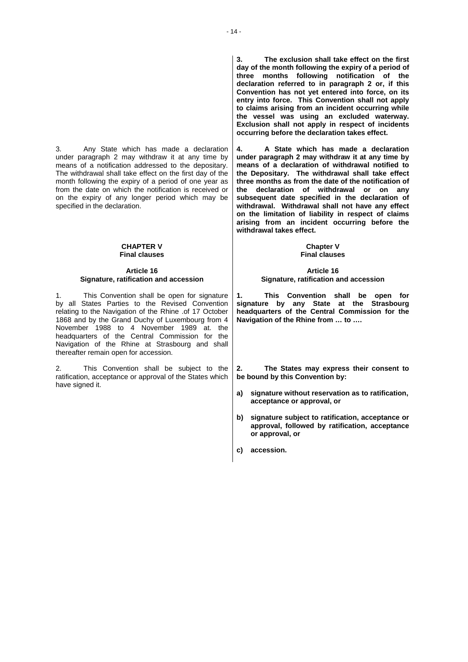3. Any State which has made a declaration under paragraph 2 may withdraw it at any time by means of a notification addressed to the depositary. The withdrawal shall take effect on the first day of the month following the expiry of a period of one year as from the date on which the notification is received or on the expiry of any longer period which may be specified in the declaration.

## **CHAPTER V** Chapter V Chapter V Chapter V Chapter V Chapter V Chapter V Chapter V Chapter V Chapter V Chapter V Chapter V Chapter V Chapter V Chapter V Chapter V Chapter V Chapter V Chapter V Chapter V Chapter V Chapter V

## Article 16 **Article 16** Article 16 **Article 16** Article 16 **Article 16 Article 16 Article 16 Article 16 Article 16 Article 16 Article 16 Article 16 Article 16 Article 16 Article 16 Article 16 Articl**

1. This Convention shall be open for signature by all States Parties to the Revised Convention relating to the Navigation of the Rhine .of 17 October 1868 and by the Grand Duchy of Luxembourg from 4 November 1988 to 4 November 1989 at. the headquarters of the Central Commission for the Navigation of the Rhine at Strasbourg and shall thereafter remain open for accession.

2. This Convention shall be subject to the ratification, acceptance or approval of the States which have signed it.

**3. The exclusion shall take effect on the first day of the month following the expiry of a period of three months following notification of the declaration referred to in paragraph 2 or, if this Convention has not yet entered into force, on its entry into force. This Convention shall not apply to claims arising from an incident occurring while the vessel was using an excluded waterway. Exclusion shall not apply in respect of incidents occurring before the declaration takes effect.** 

**4. A State which has made a declaration under paragraph 2 may withdraw it at any time by means of a declaration of withdrawal notified to the Depositary. The withdrawal shall take effect three months as from the date of the notification of the declaration of withdrawal or on any subsequent date specified in the declaration of withdrawal. Withdrawal shall not have any effect on the limitation of liability in respect of claims arising from an incident occurring before the withdrawal takes effect.** 

## **Final clauses Final clauses**

# **Signature, ratification and accession**

**1. This Convention shall be open for signature by any State at the Strasbourg headquarters of the Central Commission for the Navigation of the Rhine from … to ….** 

**2. The States may express their consent to be bound by this Convention by:** 

- **a) signature without reservation as to ratification, acceptance or approval, or**
- **b) signature subject to ratification, acceptance or approval, followed by ratification, acceptance or approval, or**
- **c) accession.**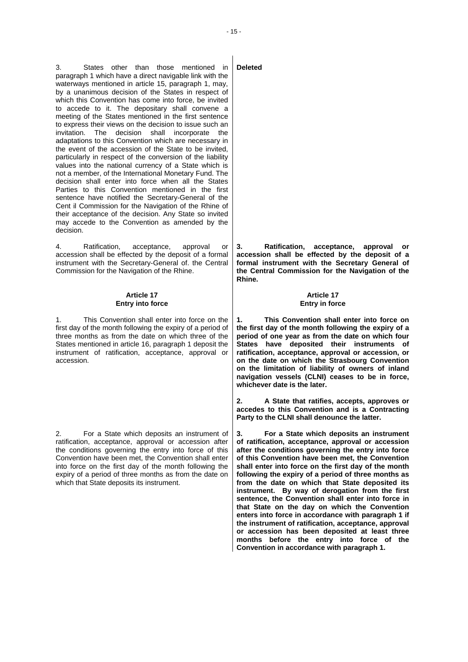3. States other than those mentioned in paragraph 1 which have a direct navigable link with the waterways mentioned in article 15, paragraph 1, may, by a unanimous decision of the States in respect of which this Convention has come into force, be invited to accede to it. The depositary shall convene a meeting of the States mentioned in the first sentence to express their views on the decision to issue such an invitation. The decision shall incorporate the adaptations to this Convention which are necessary in the event of the accession of the State to be invited, particularly in respect of the conversion of the liability values into the national currency of a State which is not a member, of the International Monetary Fund. The decision shall enter into force when all the States Parties to this Convention mentioned in the first sentence have notified the Secretary-General of the Cent il Commission for the Navigation of the Rhine of their acceptance of the decision. Any State so invited may accede to the Convention as amended by the decision.

4. Ratification, acceptance, approval or accession shall be effected by the deposit of a formal instrument with the Secretary-General of. the Central Commission for the Navigation of the Rhine.

### Article 17 **Article 17** Article 17 **Entry into force Entry in force**

1. This Convention shall enter into force on the first day of the month following the expiry of a period of three months as from the date on which three of the States mentioned in article 16, paragraph 1 deposit the instrument of ratification, acceptance, approval or accession.

2. For a State which deposits an instrument of ratification, acceptance, approval or accession after the conditions governing the entry into force of this Convention have been met, the Convention shall enter into force on the first day of the month following the expiry of a period of three months as from the date on which that State deposits its instrument.

### **Deleted**

**3. Ratification, acceptance, approval or accession shall be effected by the deposit of a formal instrument with the Secretary General of the Central Commission for the Navigation of the Rhine.** 

**1. This Convention shall enter into force on the first day of the month following the expiry of a period of one year as from the date on which four States have deposited their instruments of ratification, acceptance, approval or accession, or on the date on which the Strasbourg Convention on the limitation of liability of owners of inland navigation vessels (CLNI) ceases to be in force, whichever date is the later.** 

**2. A State that ratifies, accepts, approves or accedes to this Convention and is a Contracting Party to the CLNI shall denounce the latter.** 

**3. For a State which deposits an instrument of ratification, acceptance, approval or accession after the conditions governing the entry into force of this Convention have been met, the Convention shall enter into force on the first day of the month following the expiry of a period of three months as from the date on which that State deposited its instrument. By way of derogation from the first sentence, the Convention shall enter into force in that State on the day on which the Convention enters into force in accordance with paragraph 1 if the instrument of ratification, acceptance, approval or accession has been deposited at least three months before the entry into force of the Convention in accordance with paragraph 1.**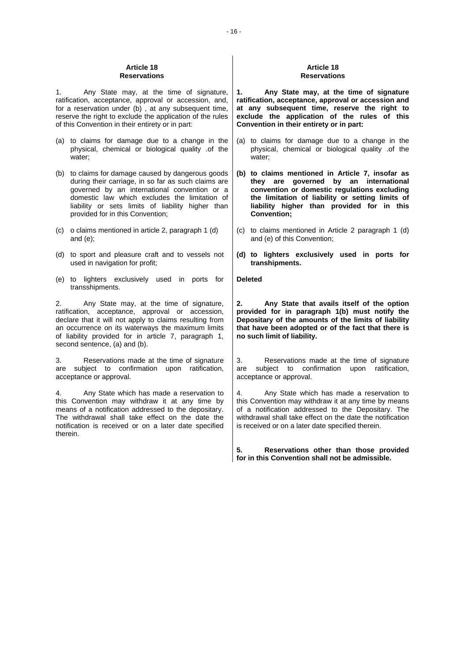# Article 18 **Article 18** Article 18<br>Reservations **Article 18**

1. Any State may, at the time of signature, ratification, acceptance, approval or accession, and, for a reservation under (b) , at any subsequent time, reserve the right to exclude the application of the rules of this Convention in their entirety or in part:

- (a) to claims for damage due to a change in the physical, chemical or biological quality .of the water;
- (b) to claims for damage caused by dangerous goods during their carriage, in so far as such claims are governed by an international convention or a domestic law which excludes the limitation of liability or sets limits of liability higher than provided for in this Convention;
- (c) o claims mentioned in article 2, paragraph 1 (d) and (e);
- (d) to sport and pleasure craft and to vessels not used in navigation for profit;
- (e) to lighters exclusively used in ports for transshipments.

2. Any State may, at the time of signature, ratification, acceptance, approval or accession, declare that it will not apply to claims resulting from an occurrence on its waterways the maximum limits of liability provided for in article 7, paragraph 1, second sentence, (a) and (b).

3. Reservations made at the time of signature are subject to confirmation upon ratification, acceptance or approval.

4. Any State which has made a reservation to this Convention may withdraw it at any time by means of a notification addressed to the depositary. The withdrawal shall take effect on the date the notification is received or on a later date specified therein.

# **Reservations Reservations**

**1. Any State may, at the time of signature ratification, acceptance, approval or accession and at any subsequent time, reserve the right to exclude the application of the rules of this Convention in their entirety or in part:** 

- (a) to claims for damage due to a change in the physical, chemical or biological quality .of the water;
- **(b) to claims mentioned in Article 7, insofar as they are governed by an international convention or domestic regulations excluding the limitation of liability or setting limits of liability higher than provided for in this Convention;**
- (c) to claims mentioned in Article 2 paragraph 1 (d) and (e) of this Convention;
- **(d) to lighters exclusively used in ports for transhipments.**
- **Deleted**

**2. Any State that avails itself of the option provided for in paragraph 1(b) must notify the Depositary of the amounts of the limits of liability that have been adopted or of the fact that there is no such limit of liability.** 

3. Reservations made at the time of signature are subject to confirmation upon ratification, acceptance or approval.

4. Any State which has made a reservation to this Convention may withdraw it at any time by means of a notification addressed to the Depositary. The withdrawal shall take effect on the date the notification is received or on a later date specified therein.

**5. Reservations other than those provided for in this Convention shall not be admissible.**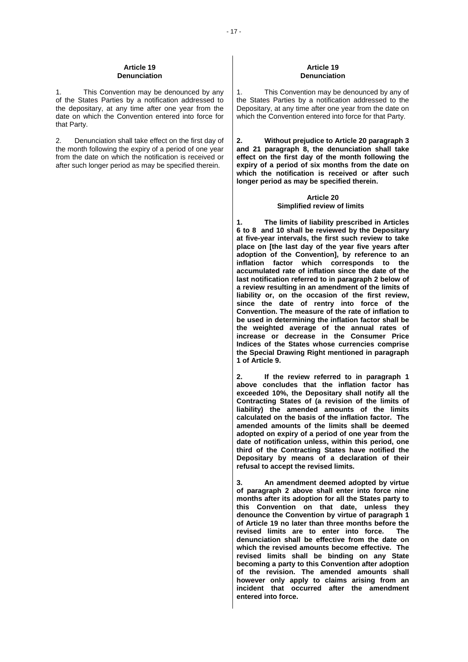### Article 19 **Article 19 Article 19 Denunciation Denunciation**

1. This Convention may be denounced by any of the States Parties by a notification addressed to the depositary, at any time after one year from the date on which the Convention entered into force for that Party.

2. Denunciation shall take effect on the first day of the month following the expiry of a period of one year from the date on which the notification is received or after such longer period as may be specified therein.

1. This Convention may be denounced by any of the States Parties by a notification addressed to the Depositary, at any time after one year from the date on which the Convention entered into force for that Party.

**2. Without prejudice to Article 20 paragraph 3 and 21 paragraph 8, the denunciation shall take effect on the first day of the month following the expiry of a period of six months from the date on which the notification is received or after such longer period as may be specified therein.** 

### **Article 20 Simplified review of limits**

**1. The limits of liability prescribed in Articles 6 to 8 and 10 shall be reviewed by the Depositary at five-year intervals, the first such review to take place on [the last day of the year five years after adoption of the Convention], by reference to an inflation factor which corresponds to the accumulated rate of inflation since the date of the last notification referred to in paragraph 2 below of a review resulting in an amendment of the limits of liability or, on the occasion of the first review, since the date of rentry into force of the Convention. The measure of the rate of inflation to be used in determining the inflation factor shall be the weighted average of the annual rates of increase or decrease in the Consumer Price Indices of the States whose currencies comprise the Special Drawing Right mentioned in paragraph 1 of Article 9.**

**2. If the review referred to in paragraph 1 above concludes that the inflation factor has exceeded 10%, the Depositary shall notify all the Contracting States of (a revision of the limits of liability) the amended amounts of the limits calculated on the basis of the inflation factor. The amended amounts of the limits shall be deemed adopted on expiry of a period of one year from the date of notification unless, within this period, one third of the Contracting States have notified the Depositary by means of a declaration of their refusal to accept the revised limits.**

**3. An amendment deemed adopted by virtue of paragraph 2 above shall enter into force nine months after its adoption for all the States party to this Convention on that date, unless they denounce the Convention by virtue of paragraph 1 of Article 19 no later than three months before the revised limits are to enter into force. The denunciation shall be effective from the date on which the revised amounts become effective. The revised limits shall be binding on any State becoming a party to this Convention after adoption of the revision. The amended amounts shall however only apply to claims arising from an incident that occurred after the amendment entered into force.**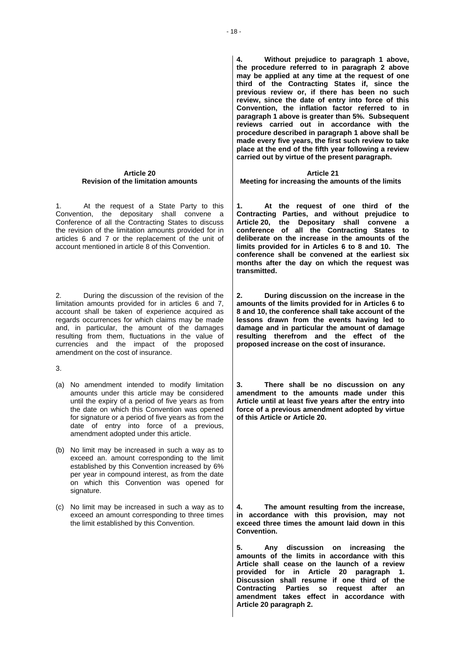# **Article 20 Article 21**

1. At the request of a State Party to this Convention, the depositary shall convene a Conference of all the Contracting States to discuss the revision of the limitation amounts provided for in articles 6 and 7 or the replacement of the unit of account mentioned in article 8 of this Convention.

2. During the discussion of the revision of the limitation amounts provided for in articles 6 and 7, account shall be taken of experience acquired as regards occurrences for which claims may be made and, in particular, the amount of the damages resulting from them, fluctuations in the value of currencies and the impact of the proposed amendment on the cost of insurance.

3.

- (a) No amendment intended to modify limitation amounts under this article may be considered until the expiry of a period of five years as from the date on which this Convention was opened for signature or a period of five years as from the date of entry into force of a previous, amendment adopted under this article.
- (b) No limit may be increased in such a way as to exceed an. amount corresponding to the limit established by this Convention increased by 6% per year in compound interest, as from the date on which this Convention was opened for signature.
- (c) No limit may be increased in such a way as to exceed an amount corresponding to three times the limit established by this Convention.

**4. Without prejudice to paragraph 1 above, the procedure referred to in paragraph 2 above may be applied at any time at the request of one third of the Contracting States if, since the previous review or, if there has been no such review, since the date of entry into force of this Convention, the inflation factor referred to in paragraph 1 above is greater than 5%. Subsequent reviews carried out in accordance with the procedure described in paragraph 1 above shall be made every five years, the first such review to take place at the end of the fifth year following a review carried out by virtue of the present paragraph.**

**Meeting for increasing the amounts of the limits** 

**1. At the request of one third of the Contracting Parties, and without prejudice to Article 20, the Depositary shall convene a conference of all the Contracting States to deliberate on the increase in the amounts of the limits provided for in Articles 6 to 8 and 10. The conference shall be convened at the earliest six months after the day on which the request was transmitted.** 

**2. During discussion on the increase in the amounts of the limits provided for in Articles 6 to 8 and 10, the conference shall take account of the lessons drawn from the events having led to damage and in particular the amount of damage resulting therefrom and the effect of the proposed increase on the cost of insurance.** 

**3. There shall be no discussion on any amendment to the amounts made under this Article until at least five years after the entry into force of a previous amendment adopted by virtue of this Article or Article 20.** 

**4. The amount resulting from the increase, in accordance with this provision, may not exceed three times the amount laid down in this Convention.** 

**5. Any discussion on increasing the amounts of the limits in accordance with this Article shall cease on the launch of a review provided for in Article 20 paragraph 1. Discussion shall resume if one third of the Contracting Parties so request after an amendment takes effect in accordance with Article 20 paragraph 2.**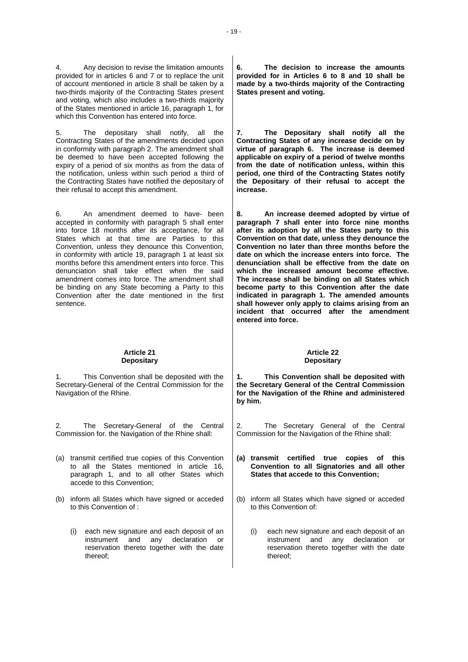5. The depositary shall notify, all the Contracting States of the amendments decided upon in conformity with paragraph 2. The amendment shall be deemed to have been accepted following the expiry of a period of six months as from the data of the notification, unless within such period a third of the Contracting States have notified the depositary of their refusal to accept this amendment.

6. An amendment deemed to have- been accepted in conformity with paragraph 5 shall enter into force 18 months after its acceptance, for ail States which at that time are Parties to this Convention, unless they denounce this Convention, in conformity with article 19, paragraph 1 at least six months before this amendment enters into force. This denunciation shall take effect when the said amendment comes into force. The amendment shall be binding on any State becoming a Party to this Convention after the date mentioned in the first sentence.

# **Depositary Depositary**

1. This Convention shall be deposited with the Secretary-General of the Central Commission for the Navigation of the Rhine.

2. The Secretary-General of the Central Commission for. the Navigation of the Rhine shall:

- (a) transmit certified true copies of this Convention to all the States mentioned in article 16, paragraph 1, and to all other States which accede to this Convention;
- (b) inform all States which have signed or acceded to this Convention of :
	- (i) each new signature and each deposit of an instrument and any declaration or reservation thereto together with the date thereof;

**6. The decision to increase the amounts provided for in Articles 6 to 8 and 10 shall be made by a two-thirds majority of the Contracting States present and voting.** 

**7. The Depositary shall notify all the Contracting States of any increase decide on by virtue of paragraph 6. The increase is deemed applicable on expiry of a period of twelve months from the date of notification unless, within this period, one third of the Contracting States notify the Depositary of their refusal to accept the increase.** 

**8. An increase deemed adopted by virtue of paragraph 7 shall enter into force nine months after its adoption by all the States party to this Convention on that date, unless they denounce the Convention no later than three months before the date on which the increase enters into force. The denunciation shall be effective from the date on which the increased amount become effective. The increase shall be binding on all States which become party to this Convention after the date indicated in paragraph 1. The amended amounts shall however only apply to claims arising from an incident that occurred after the amendment entered into force.** 

## **Article 21 Article 22**

**1. This Convention shall be deposited with the Secretary General of the Central Commission for the Navigation of the Rhine and administered by him.** 

The Secretary General of the Central Commission for the Navigation of the Rhine shall:

**(a) transmit certified true copies of this Convention to all Signatories and all other States that accede to this Convention;** 

- (b) inform all States which have signed or acceded to this Convention of:
	- (i) each new signature and each deposit of an instrument and any declaration or reservation thereto together with the date thereof;